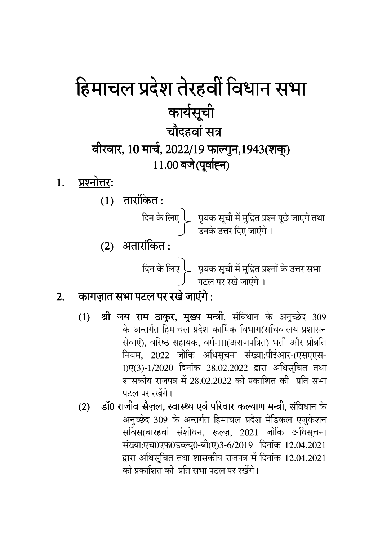## हिमाचल प्रदेश तेरहवीं विधान सभा <u>कार्यसूची</u> चौदहवां सत्र वीरवार, 10 मार्च, 2022/19 फाल्गुन,1943(शक्) 11.00 बजे (पूर्वाह्न)

- प्रश्नोत्तर: 1.
	- $(1)$  तारांकित:



 $(2)$  अतारांकित:

#### <u>कागज़ात सभा पटल पर रखे जाएंगे :</u>  $2.$

- श्री जय राम ठाकुर, मुख्य मन्त्री, संविधान के अनुच्छेद 309  $(1)$ के अन्तर्गत हिमाचल प्रदेश कार्मिक विभाग(सचिवालय प्रशासन सेवाएं), वरिष्ठ सहायक, वर्ग-III(अराजपत्रित) भर्ती और प्रोन्नति नियम, 2022 जोकि अधिसूचना संख्या:पीईआर-(एसएएस-1)ए(3)-1/2020 दिनांक 28.02.2022 द्वारा अधिसूचित तथा शासकीय राजपत्र में 28.02.2022 को प्रकाशित की प्रति सभा पटल पर रखेंगे।
- डॉ0 राजीव सैज़ल, स्वास्थ्य एवं परिवार कल्याण मन्त्री, संविधान के  $(2)$ अनुच्छेद 309 के अन्तर्गत हिमाचल प्रदेश मेडिकल एजुकेशन सर्विस(बारहवां संशोधन, रूल्ज़, 2021 जोकि अधिसूचना संख्या:एच0एफ0डब्ल्यू0-बी(ए)3-6/2019 दिनांक 12.04.2021 द्वारा अधिसूचित तथा शासकीय राजपत्र में दिनांक 12.04.2021 को प्रकाशित की प्रति सभा पटल पर रखेंगे।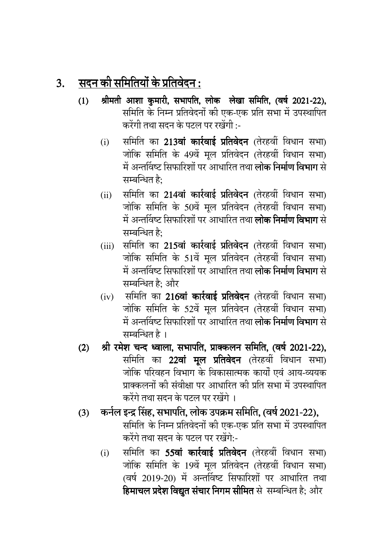#### $3.$  सदन की समितियों के प्रतिवेदन :

- <u>(</u>1) श्रीमती आशा कुमारी, सभापति, लोक लेखा समिति, (वर्ष 2021-22), समिति के निम्न प्रतिवेदनों की एक-एक प्रति सभा में उपस्थापित करेंगी तथा सदन के पटल पर रखेंगी :-
	- (i) समिति का 213**वां कार्रवाई प्रतिवेदन** (तेरहवीं विधान सभा) जोकि समिति के 49वें मूल प्रतिवेदन (तेरहवीं विधान सभा) में अन्तविष्ट सिफारिशों पर आधारित तथा **लोक निर्माण विभाग** से सम्बन्धित है $\cdot$
	- (ii) समिति का 214वां कार्रवाई प्रतिवेदन (तेरहवीं विधान सभा) जोकि समिति के 50वें मूल प्रतिवेदन (तेरहवीं विधान सभा) में अन्तविष्ट सिफारिशों पर आधारित तथा **लोक निर्माण विभाग** से सम्बन्धित है:
	- (iii) समिति का 215वां कार्रवाई प्रतिवेदन (तेरहवीं विधान सभा) जोकि समिति के 51वें मूल प्रतिवेदन (तेरहवीं विधान सभा) में अन्तविष्ट सिफारिशों पर आधारित तथा **लोक निर्माण विभाग** से सम्बन्धित है: और
	- $(iv)$  समिति का 216वां कार्रवाई प्रतिवेदन (तेरहवीं विधान सभा) जोकि समिति के 52वें मूल प्रतिवेदन (तेरहवीं विधान सभा) में अन्तविष्ट सिफारिशों पर आधारित तथा **लोक निर्माण विभाग** से सम्बन्धित है ।
- (2) श्री रमेश चन्द ध्वाला, सभापति, प्राक्कलन समिति, (वर्ष 2021-22), समिति का 22वां मूल प्रतिवेदन (तेरहवीं विधान सभा) जोकि परिवहन विभाग के विकासात्मक कार्यों एवं आय-व्ययक प्राक्कलनों की संवीक्षा पर आधारित की प्रति सभा में उपस्थापित करेंगे तथा सदन के पटल पर रखेंगे ।
- (3) कर्नल इन्द्र सिंह, सभापति, लोक उपक्रम समिति, (वर्ष 2021-22), समिति के निम्न प्रतिवेदनों की एक-एक प्रति सभा में उपस्थापित करेंगे तथा सदन के पटल पर रखेंगे:-
	- (i) समिति का **55वां कार्रवाई प्रतिवेदन** (तेरहवीं विधान सभा) जोकि समिति के 19वें मूल प्रतिवेदन (तेरहवीं विधान सभा) (वर्ष 2019-20) में अन्तविष्ट सिफारिशों पर आधारित तथा हिमाचल प्रदेश विद्युत सचार निगम सीमित से सम्बन्धित है; और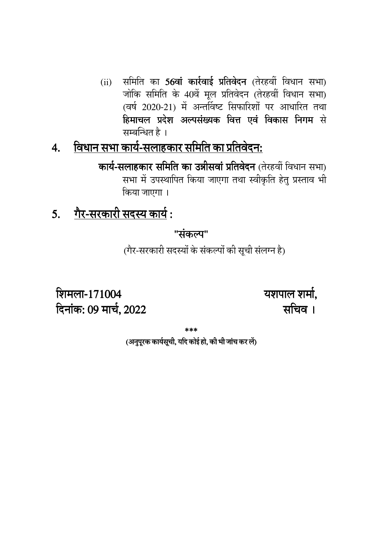समिति का 56वां कार्रवाई प्रतिवेदन (तेरहवीं विधान सभा)  $(ii)$ जोकि समिति के 40वें मूल प्रतिवेदन (तेरहवीं विधान सभा) (वर्ष 2020-21) में अन्तर्विष्ट सिफारिशों पर आधारित तथा हिमाचल प्रदेश अल्पसंख्यक वित्त एवं विकास निगम से सम्बन्धित है ।

#### विधान सभा कार्य-सलाहकार समिति का प्रतिवेदन:  $\overline{4}$ .

कार्य-सलाहकार समिति का उन्नीसवां प्रतिवेदन (तेरहवीं विधान सभा) सभा में उपस्थापित किया जाएगा तथा स्वीकृति हेतू प्रस्ताव भी किया जाएगा।

#### 5. गैर-सरकारी सदस्य कार्य:

"संकल्प"

(गैर-सरकारी सदस्यों के संकल्पों की सूची संलग्न है)

यशपाल शर्मा. सचिव ।

शिमला-171004 दिनांक: 09 मार्च, 2022

(अनुपरक कार्यसूची, यदि कोई हो, की भी जांच कर लें)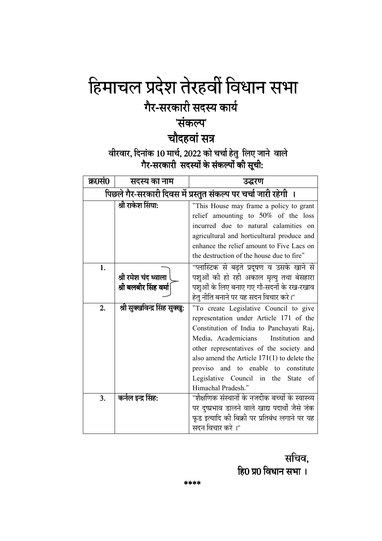# हिमाचल प्रदेश तेरहवीं विधान सभा

### गैर-सरकारी सदस्य कार्य

#### 'संकल्प'

#### चौदहवां सत्र

# वीरवार, दिनांक 10 मार्च, 2022 को चर्चा हेतु लिए जाने वाले<br>गैर-सरकारी सदस्यों के संकल्पों की सूची:

| क्र0सं0                                                       | सदस्य का नाम                   | उद्धरण                                           |
|---------------------------------------------------------------|--------------------------------|--------------------------------------------------|
| पिछले गैर-सरकारी दिवस में प्रस्तुत संकल्प पर चर्चा जारी रहेगी |                                |                                                  |
|                                                               | श्री राकेश सिंघा:              | "This House may frame a policy to grant          |
|                                                               |                                | relief amounting to $50\%$ of the loss           |
|                                                               |                                | incurred due to natural calamities on            |
|                                                               |                                | agricultural and horticultural produce and       |
|                                                               |                                | enhance the relief amount to Five Lacs on        |
|                                                               |                                | the destruction of the house due to fire"        |
| 1.                                                            |                                | "प्लास्टिक से बढ़ते प्रदूषण व उसके खाने से       |
|                                                               | श्री रमेश चंद ध्वाला           | पशुओं की हो रही अकाल मृत्यु तथा बेसहारा          |
|                                                               | श्री बलबीर सिंह वर्मा          | पशुओं के लिए बनाए गए गौ-सदनों के रख-रखाव         |
|                                                               |                                | हेतु नीति बनाने पर यह सदन विचार करे।"            |
| 2.                                                            | श्री सुक्खविन्द्र सिंह सुक्खु: | "To create Legislative Council to give           |
|                                                               |                                | representation under Article 171 of the          |
|                                                               |                                | Constitution of India to Panchayati Raj,         |
|                                                               |                                | Media, Academicians<br>Institution and           |
|                                                               |                                | other representatives of the society and         |
|                                                               |                                | also amend the Article $171(1)$ to delete the    |
|                                                               |                                | proviso and to enable to<br>constitute           |
|                                                               |                                | Legislative Council in the<br><b>State</b><br>of |
|                                                               |                                | Himachal Pradesh."                               |
| 3.                                                            | कर्नल इन्द्र सिंह:             | "शैक्षणिक संस्थानों के नजदीक बच्चों के स्वास्थ्य |
|                                                               |                                | पर दुष्प्रभाव डालने वाले खाद्य पदार्थों जैसे जंक |
|                                                               |                                | फूड इत्यादि की बिक्री पर प्रतिबंध लगाने पर यह    |
|                                                               |                                | सदन विचार करे ।"                                 |

सचिव, हि0 प्र0 विधान सभा ।